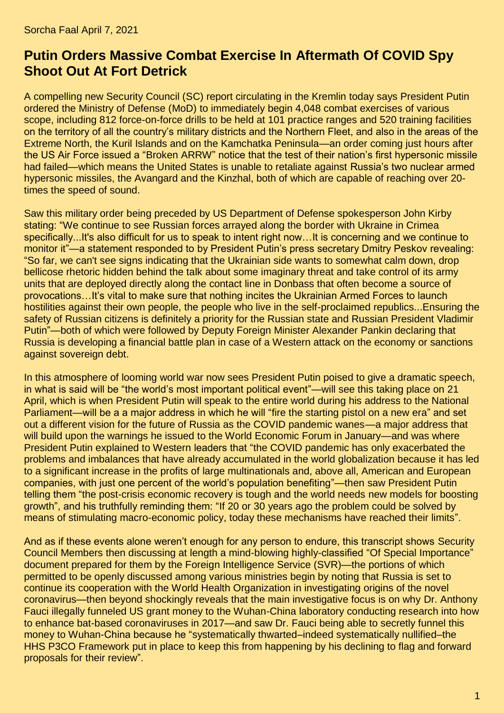## **Putin Orders Massive Combat Exercise In Aftermath Of COVID Spy Shoot Out At Fort Detrick**

A compelling new Security Council [\(SC\)](http://en.kremlin.ru/structure/security-council) report circulating in the Kremlin today says President Putin ordered the Ministry of Defense [\(MoD\)](http://eng.mil.ru/) to [immediately begin 4,048 combat exercises of various](https://tass.com/defense/1274675)  [scope, including 812 force-on-force drills to be held at 101 practice ranges and 520 training facilities](https://tass.com/defense/1274675)  [on the territory of all the country's military districts and the Northern Fleet, and also in the areas of the](https://tass.com/defense/1274675)  [Extreme North, the Kuril Islands and on the Kamchatka Peninsula—](https://tass.com/defense/1274675)an order coming just hours after the US Air Force issued a ["Broken ARRW"](https://www.thedrive.com/the-war-zone/40064/broken-arrw-air-forces-first-hypersonic-missile-fails-during-inaugural-test) notice that the test of their nation's first hypersonic missile had failed—which means the United States is unable to retaliate against [Russia's two nuclear armed](https://www.defensenews.com/global/europe/2021/03/15/two-down-more-to-go-with-hypersonic-weapons-already-in-the-field-russia-looks-to-improve-features/#:~:text=There%20are%20currently%20two%20hypersonic,times%20the%20speed%20of%20sound.&text=The%20Kinzhal%20(or%20%E2%80%9CDagger%E2%80%9D,missile%20fielded%20in%20December%202017.)  [hypersonic missiles, the Avangard and the Kinzhal, both of which are capable of reaching over 20](https://www.defensenews.com/global/europe/2021/03/15/two-down-more-to-go-with-hypersonic-weapons-already-in-the-field-russia-looks-to-improve-features/#:~:text=There%20are%20currently%20two%20hypersonic,times%20the%20speed%20of%20sound.&text=The%20Kinzhal%20(or%20%E2%80%9CDagger%E2%80%9D,missile%20fielded%20in%20December%202017.) [times the speed of sound.](https://www.defensenews.com/global/europe/2021/03/15/two-down-more-to-go-with-hypersonic-weapons-already-in-the-field-russia-looks-to-improve-features/#:~:text=There%20are%20currently%20two%20hypersonic,times%20the%20speed%20of%20sound.&text=The%20Kinzhal%20(or%20%E2%80%9CDagger%E2%80%9D,missile%20fielded%20in%20December%202017.)

Saw this military order being preceded by US Department of Defense spokesperson John Kirby stating: ["We continue to see Russian forces arrayed along the border with Ukraine in Crimea](https://tass.com/world/1274885)  [specifically...It's also difficult for us to speak to intent right now…It is concerning and we continue to](https://tass.com/world/1274885)  [monitor it"](https://tass.com/world/1274885)—a statement responded to by President Putin's press secretary Dmitry Peskov revealing: ["So far, we can't see signs indicating that the Ukrainian side wants to somewhat calm down, drop](https://tass.com/politics/1274533)  [bellicose rhetoric hidden behind the talk about some imaginary threat and take control of its army](https://tass.com/politics/1274533)  [units that are deployed directly along the contact line in Donbass that often become a source of](https://tass.com/politics/1274533)  [provocations…It's vital to make sure that nothing incites the Ukrainian Armed Forces to launch](https://tass.com/politics/1274533)  [hostilities against their own people, the people who live in the self-proclaimed republics...Ensuring the](https://tass.com/politics/1274533)  [safety of Russian citizens is definitely a priority for the Russian state and Russian President Vladimir](https://tass.com/politics/1274533)  [Putin"](https://tass.com/politics/1274533)—both of which were followed by Deputy Foreign Minister Alexander Pankin declaring that [Russia is developing a financial battle plan in case of a Western attack on the economy or sanctions](https://www.rt.com/russia/520236-battle-plan-western-attack-economy/)  [against sovereign debt.](https://www.rt.com/russia/520236-battle-plan-western-attack-economy/)

In this atmosphere of looming world war now sees President Putin poised to give a dramatic speech, in what is said will be ["the world's most important political event"](https://www.rt.com/russia/520258-putin-major-address-future/)—will see this taking place on [21](https://www.rt.com/russia/520258-putin-major-address-future/)  [April,](https://www.rt.com/russia/520258-putin-major-address-future/) which is when President Putin will speak to the entire world during his address to the National Parliament—will be a a major address in which he will "fire the starting [pistol on a new era"](https://www.rt.com/russia/520258-putin-major-address-future/) and set out a different vision for the future of Russia as the COVID pandemic wanes—a major address that will build upon the warnings he issued to the World Economic Forum in January—and was where President Putin explained to Western leaders that ["the COVID pandemic has only exacerbated the](https://www.rt.com/business/513783-putin-economy-boosting-inequality/)  [problems and imbalances that have already accumulated in the world globalization because it has led](https://www.rt.com/business/513783-putin-economy-boosting-inequality/)  [to a significant increase in the profits of large multinationals and, above all, American and European](https://www.rt.com/business/513783-putin-economy-boosting-inequality/)  [companies, with just one percent of the world's population benefiting"](https://www.rt.com/business/513783-putin-economy-boosting-inequality/)—then saw President Putin telling them ["the post-crisis economic recovery is tough and the world needs new models for boosting](https://www.rt.com/business/513783-putin-economy-boosting-inequality/)  [growth"](https://www.rt.com/business/513783-putin-economy-boosting-inequality/), and his truthfully reminding them: ["If 20 or 30 years ago the problem could be solved by](https://www.rt.com/business/513783-putin-economy-boosting-inequality/)  [means of stimulating macro-economic policy, today these mechanisms have reached their limits"](https://www.rt.com/business/513783-putin-economy-boosting-inequality/).

And as if these events alone weren't enough for any person to endure, this transcript shows [Security](http://en.kremlin.ru/structure/security-council/members)  [Council Members](http://en.kremlin.ru/structure/security-council/members) then discussing at length a mind-blowing highly-classified ["Of Special Importance"](https://fas.org/irp/world/russia/class.htm) document prepared for them by the Foreign Intelligence Service [\(SVR\)](http://government.ru/en/department/112/)—the portions of which permitted to be openly discussed among various ministries begin by noting that [Russia is set to](https://tass.com/world/1274851)  [continue its cooperation with the World Health Organization in investigating origins of the novel](https://tass.com/world/1274851)  [coronavirus—](https://tass.com/world/1274851)then beyond shockingly reveals that the main investigative focus is on why [Dr. Anthony](https://www.theepochtimes.com/us-grant-to-wuhan-lab-to-enhance-bat-based-coronaviruses-was-never-scrutinized-by-hhs-review-board-nih_3764227.html)  [Fauci illegally funneled US grant money to the Wuhan-China laboratory conducting research into how](https://www.theepochtimes.com/us-grant-to-wuhan-lab-to-enhance-bat-based-coronaviruses-was-never-scrutinized-by-hhs-review-board-nih_3764227.html)  [to enhance bat-based coronaviruses in 2017—](https://www.theepochtimes.com/us-grant-to-wuhan-lab-to-enhance-bat-based-coronaviruses-was-never-scrutinized-by-hhs-review-board-nih_3764227.html)and saw Dr. Fauci being able to secretly funnel this money to Wuhan-China because he ["systematically thwarted–indeed systematically nullified–the](https://www.theepochtimes.com/us-grant-to-wuhan-lab-to-enhance-bat-based-coronaviruses-was-never-scrutinized-by-hhs-review-board-nih_3764227.html)  [HHS P3CO Framework put in place to keep this from happening by his declining to flag and forward](https://www.theepochtimes.com/us-grant-to-wuhan-lab-to-enhance-bat-based-coronaviruses-was-never-scrutinized-by-hhs-review-board-nih_3764227.html)  [proposals for their review"](https://www.theepochtimes.com/us-grant-to-wuhan-lab-to-enhance-bat-based-coronaviruses-was-never-scrutinized-by-hhs-review-board-nih_3764227.html).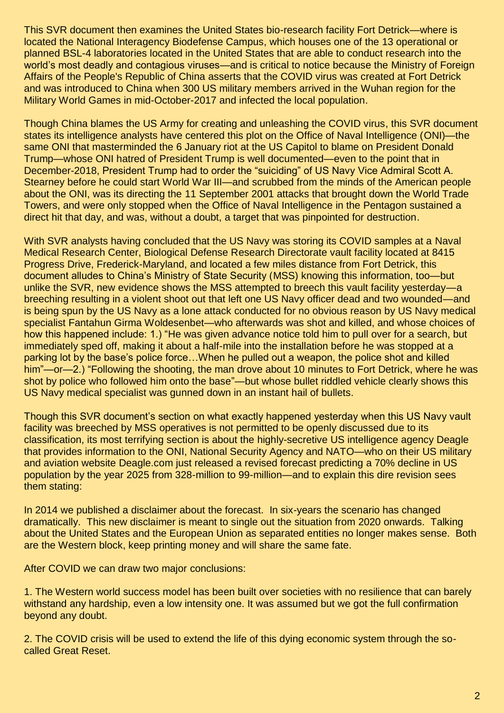This SVR document then examines the United States bio-research facility [Fort Detrick—](https://en.wikipedia.org/wiki/Fort_Detrick)where is located the [National Interagency Biodefense Campus,](https://en.wikipedia.org/wiki/National_Interagency_Biodefense_Campus) which houses one of the [13 operational or](https://fas.org/programs/bio/research.html)  [planned BSL-4 laboratories](https://fas.org/programs/bio/research.html) located in the United States that are able to conduct research into the world's most deadly and contagious viruses—and is critical to notice because the [Ministry of Foreign](https://www.fmprc.gov.cn/mfa_eng/)  [Affairs of the People's Republic of China](https://www.fmprc.gov.cn/mfa_eng/) asserts that [the COVID virus was created at Fort Detrick](https://www.the-scientist.com/news-opinion/chinese-officials-blame-us-army-for-coronavirus-67267)  [and was introduced to China when 300 US military members arrived in the Wuhan region for the](https://www.the-scientist.com/news-opinion/chinese-officials-blame-us-army-for-coronavirus-67267)  [Military World Games in mid-October-2017 and infected the local population.](https://www.the-scientist.com/news-opinion/chinese-officials-blame-us-army-for-coronavirus-67267)

Though [China blames the US Army for creating and unleashing the COVID virus,](https://www.the-scientist.com/news-opinion/chinese-officials-blame-us-army-for-coronavirus-67267) this SVR document states its intelligence analysts have centered this plot on the Office of Naval Intelligence [\(ONI\)](https://www.oni.navy.mil/)[—the](https://www.whatdoesitmean.com/index3476.htm)  [same ONI that masterminded the 6 January riot at the US Capitol to blame on President Donald](https://www.whatdoesitmean.com/index3476.htm)  [Trump—](https://www.whatdoesitmean.com/index3476.htm)whose [ONI hatred of President Trump is well documented—](https://www.whatdoesitmean.com/index3048.htm)even to the point that in December-2018, [President Trump had to order the "suiciding" of US Navy Vice Admiral Scott A.](https://www.whatdoesitmean.com/index2725.htm)  [Stearney before he could start World War III—](https://www.whatdoesitmean.com/index2725.htm)and scrubbed from the minds of the American people about the ONI, was its directing the [11 September 2001](https://www.ae911truth.org/) attacks that brought down the World Trade Towers, and were only stopped when [the Office of Naval Intelligence in the Pentagon sustained a](https://wikispooks.com/wiki/Office_of_Naval_Intelligence#9.2F11_Attack)  [direct hit that day, and was, without a doubt, a target that was pinpointed for destruction.](https://wikispooks.com/wiki/Office_of_Naval_Intelligence#9.2F11_Attack)

With SVR analysts having concluded that the US Navy was storing its COVID samples at a Naval [Medical Research Center, Biological Defense Research Directorate vault facility located at 8415](https://news.usni.org/2021/04/06/active-duty-sailor-killed-after-shooting-2-adults-in-frederick-md-navy-confirms)  [Progress Drive, Frederick-Maryland,](https://news.usni.org/2021/04/06/active-duty-sailor-killed-after-shooting-2-adults-in-frederick-md-navy-confirms) and located a few miles distance from Fort Detrick, this document alludes to China's Ministry of State Security [\(MSS\)](https://www.12339.gov.cn/) knowing this information, too—but unlike the SVR, new evidence shows the MSS attempted to breech this vault facility yesterday—a breeching resulting in a violent shoot out that left one US Navy officer dead and two wounded—and is being spun by the US Navy as a lone attack conducted [for no obvious reason](https://apnews.com/article/maryland-frederick-ad638d84f61061141db28367d079a0b7) by [US Navy medical](https://heavy.com/news/fantahun-woldesenbet/)  [specialist Fantahun Girma Woldesenbet—](https://heavy.com/news/fantahun-woldesenbet/)who afterwards was shot and killed, and whose choices of how this happened include: 1.) ["He was given advance notice told him to pull over for a search, but](https://apnews.com/article/maryland-frederick-ad638d84f61061141db28367d079a0b7)  [immediately sped off, making it about a half-mile into the installation before he was stopped at a](https://apnews.com/article/maryland-frederick-ad638d84f61061141db28367d079a0b7)  [parking lot by the base's police force…When he pulled out a weapon, the police shot and killed](https://apnews.com/article/maryland-frederick-ad638d84f61061141db28367d079a0b7)  [him"](https://apnews.com/article/maryland-frederick-ad638d84f61061141db28367d079a0b7)—or—2.) ["Following the shooting, the man drove about 10 minutes to Fort Detrick, where he was](https://www.independent.co.uk/news/fort-detrick-shooting-maryland-navy-b1827387.html)  [shot by police who followed him onto the base"](https://www.independent.co.uk/news/fort-detrick-shooting-maryland-navy-b1827387.html)—but whose [bullet riddled vehicle clearly shows this](https://twitter.com/Chopper4Brad/status/1379521895532531719?ref_src=twsrc%5Etfw%7Ctwcamp%5Etweetembed%7Ctwterm%5E1379521895532531719%7Ctwgr%5E%7Ctwcon%5Es1_&ref_url=https%3A%2F%2Fheavy.com%2Fnews%2Ffantahun-woldesenbet%2F)  [US Navy medical specialist was gunned down in](https://twitter.com/Chopper4Brad/status/1379521895532531719?ref_src=twsrc%5Etfw%7Ctwcamp%5Etweetembed%7Ctwterm%5E1379521895532531719%7Ctwgr%5E%7Ctwcon%5Es1_&ref_url=https%3A%2F%2Fheavy.com%2Fnews%2Ffantahun-woldesenbet%2F) an instant hail of bullets.

Though this SVR document's section on what exactly happened yesterday when this US Navy vault facility was breeched by MSS operatives is not permitted to be openly discussed due to its classification, its most terrifying section is about the [highly-secretive US intelligence agency Deagle](https://steemit.com/news/@rebelskum/deagel-a-real-intelligence-organization-for-the-u-s-government-predicts-massive-global-depopulation-50-80)  [that provides information to the ONI, National Security Agency and NATO—](https://steemit.com/news/@rebelskum/deagel-a-real-intelligence-organization-for-the-u-s-government-predicts-massive-global-depopulation-50-80)who on their US military and aviation website [Deagle.com](https://www.lewrockwell.com/2021/04/bill-sardi/frightening-forecast-predicts-70-decline-in-us-population-by-the-year-2025-extermination-of-the-masses-by-nuclear-war-or-contrived-pandemic/) just released a [revised forecast predicting a 70% decline in US](https://www.lewrockwell.com/2021/04/bill-sardi/frightening-forecast-predicts-70-decline-in-us-population-by-the-year-2025-extermination-of-the-masses-by-nuclear-war-or-contrived-pandemic/)  [population by the year 2025 from 328-million to 99-million—](https://www.lewrockwell.com/2021/04/bill-sardi/frightening-forecast-predicts-70-decline-in-us-population-by-the-year-2025-extermination-of-the-masses-by-nuclear-war-or-contrived-pandemic/)and to explain this dire revision [sees](https://www.lewrockwell.com/2021/04/bill-sardi/frightening-forecast-predicts-70-decline-in-us-population-by-the-year-2025-extermination-of-the-masses-by-nuclear-war-or-contrived-pandemic/)  [them stating:](https://www.lewrockwell.com/2021/04/bill-sardi/frightening-forecast-predicts-70-decline-in-us-population-by-the-year-2025-extermination-of-the-masses-by-nuclear-war-or-contrived-pandemic/)

In 2014 we published a disclaimer about the forecast. In six-years the scenario has changed dramatically. This new disclaimer is meant to single out the situation from 2020 onwards. Talking about the United States and the European Union as separated entities no longer makes sense. Both are the Western block, keep printing money and will share the same fate.

After COVID we can draw two major conclusions:

1. The Western world success model has been built over societies with no resilience that can barely withstand any hardship, even a low intensity one. It was assumed but we got the full confirmation beyond any doubt.

2. The COVID crisis will be used to extend the life of this dying economic system through the socalled Great Reset.